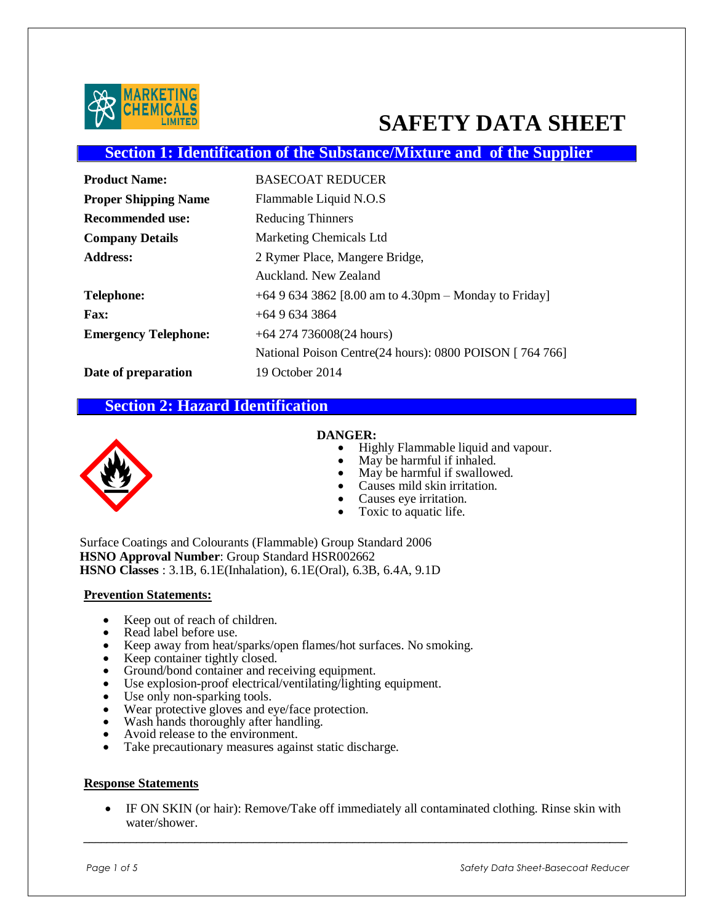

# **SAFETY DATA SHEET**

### **Section 1: Identification of the Substance/Mixture and of the Supplier**

| <b>Product Name:</b>        | <b>BASECOAT REDUCER</b>                                 |
|-----------------------------|---------------------------------------------------------|
| <b>Proper Shipping Name</b> | Flammable Liquid N.O.S                                  |
| <b>Recommended use:</b>     | <b>Reducing Thinners</b>                                |
| <b>Company Details</b>      | <b>Marketing Chemicals Ltd</b>                          |
| <b>Address:</b>             | 2 Rymer Place, Mangere Bridge,                          |
|                             | Auckland, New Zealand                                   |
| Telephone:                  | +64 9 634 3862 [8.00 am to 4.30pm – Monday to Friday]   |
| <b>Fax:</b>                 | $+6496343864$                                           |
| <b>Emergency Telephone:</b> | $+64$ 274 736008(24 hours)                              |
|                             | National Poison Centre(24 hours): 0800 POISON [764 766] |
| Date of preparation         | 19 October 2014                                         |

#### **Section 2: Hazard Identification**



#### **DANGER:**

- Highly Flammable liquid and vapour.
- May be harmful if inhaled.
- May be harmful if swallowed.
- Causes mild skin irritation.
- Causes eye irritation.
- Toxic to aquatic life.

Surface Coatings and Colourants (Flammable) Group Standard 2006 **HSNO Approval Number**: Group Standard HSR002662 **HSNO Classes** : 3.1B, 6.1E(Inhalation), 6.1E(Oral), 6.3B, 6.4A, 9.1D

#### **Prevention Statements:**

- Keep out of reach of children.
- Read label before use.
- Keep away from heat/sparks/open flames/hot surfaces. No smoking.
- Keep container tightly closed.
- Ground/bond container and receiving equipment.
- Use explosion-proof electrical/ventilating/lighting equipment.
- Use only non-sparking tools.
- Wear protective gloves and eye/face protection.
- Wash hands thoroughly after handling.
- Avoid release to the environment.
- Take precautionary measures against static discharge.

#### **Response Statements**

 IF ON SKIN (or hair): Remove/Take off immediately all contaminated clothing. Rinse skin with water/shower.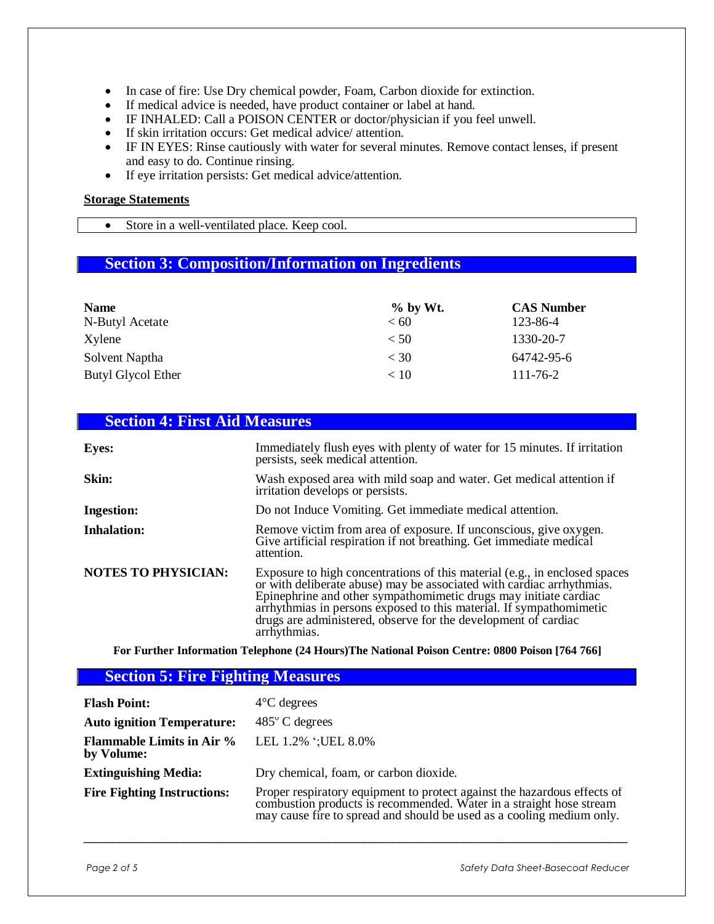- In case of fire: Use Dry chemical powder, Foam, Carbon dioxide for extinction.
- If medical advice is needed, have product container or label at hand.
- IF INHALED: Call a POISON CENTER or doctor/physician if you feel unwell.
- If skin irritation occurs: Get medical advice/ attention.
- IF IN EYES: Rinse cautiously with water for several minutes. Remove contact lenses, if present and easy to do. Continue rinsing.
- If eye irritation persists: Get medical advice/attention.

#### **Storage Statements**

Store in a well-ventilated place. Keep cool.

# **Section 3: Composition/Information on Ingredients**

| <b>Name</b><br>N-Butyl Acetate | $%$ by Wt.<br>< 60 | <b>CAS Number</b><br>123-86-4 |
|--------------------------------|--------------------|-------------------------------|
| Xylene                         | < 50               | 1330-20-7                     |
| Solvent Naptha                 | $<$ 30             | 64742-95-6                    |
| Butyl Glycol Ether             | < 10               | $111 - 76 - 2$                |

# **Section 4: First Aid Measures**

| <b>Eyes:</b>               | Immediately flush eyes with plenty of water for 15 minutes. If irritation<br>persists, seek medical attention.                                                                                                                                                                                                                                                                   |
|----------------------------|----------------------------------------------------------------------------------------------------------------------------------------------------------------------------------------------------------------------------------------------------------------------------------------------------------------------------------------------------------------------------------|
| Skin:                      | Wash exposed area with mild soap and water. Get medical attention if<br>irritation develops or persists.                                                                                                                                                                                                                                                                         |
| <b>Ingestion:</b>          | Do not Induce Vomiting. Get immediate medical attention.                                                                                                                                                                                                                                                                                                                         |
| <b>Inhalation:</b>         | Remove victim from area of exposure. If unconscious, give oxygen.<br>Give artificial respiration if not breathing. Get immediate medical<br>attention.                                                                                                                                                                                                                           |
| <b>NOTES TO PHYSICIAN:</b> | Exposure to high concentrations of this material (e.g., in enclosed spaces<br>or with deliberate abuse) may be associated with cardiac arrhythmias.<br>Epinephrine and other sympathomimetic drugs may initiate cardiac<br>arrhythmias in persons exposed to this material. If sympathomimetic<br>drugs are administered, observe for the development of cardiac<br>arrhythmias. |

**For Further Information Telephone (24 Hours)The National Poison Centre: 0800 Poison [764 766]**

#### **Section 5: Fire Fighting Measures**

| <b>Flash Point:</b>                            | $4^{\circ}$ C degrees                                                                                                                                                                                                    |
|------------------------------------------------|--------------------------------------------------------------------------------------------------------------------------------------------------------------------------------------------------------------------------|
| <b>Auto ignition Temperature:</b>              | $485^{\circ}$ C degrees                                                                                                                                                                                                  |
| <b>Flammable Limits in Air %</b><br>by Volume: | LEL 1.2% '; UEL 8.0%                                                                                                                                                                                                     |
| <b>Extinguishing Media:</b>                    | Dry chemical, foam, or carbon dioxide.                                                                                                                                                                                   |
| <b>Fire Fighting Instructions:</b>             | Proper respiratory equipment to protect against the hazardous effects of<br>combustion products is recommended. Water in a straight hose stream<br>may cause fire to spread and should be used as a cooling medium only. |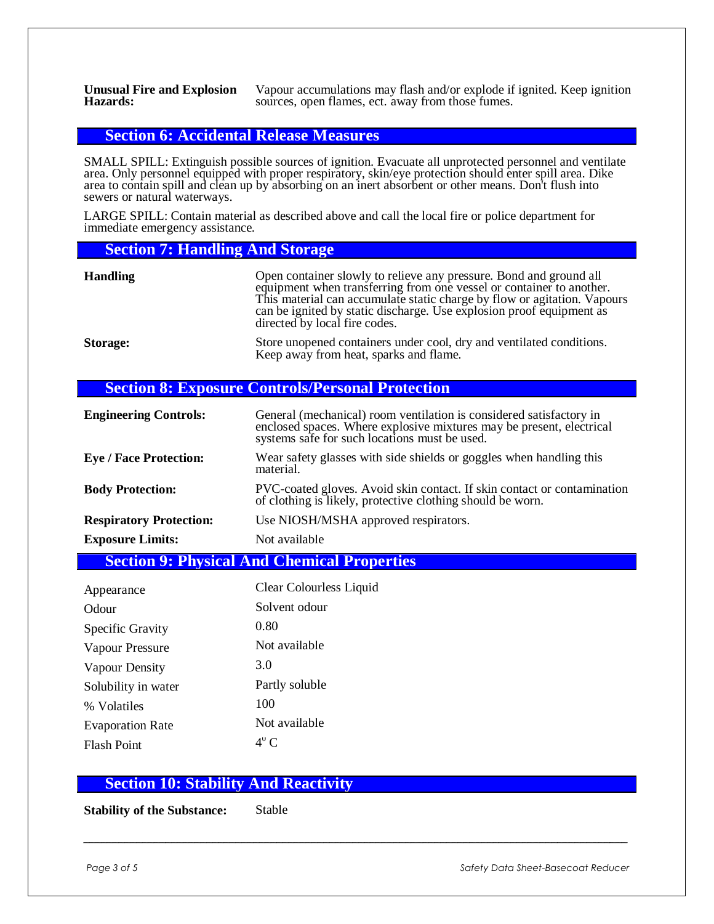**Unusual Fire and Explosion Hazards:**

Vapour accumulations may flash and/or explode if ignited. Keep ignition sources, open flames, ect. away from those fumes.

#### **Section 6: Accidental Release Measures**

SMALL SPILL: Extinguish possible sources of ignition. Evacuate all unprotected personnel and ventilate area. Only personnel equipped with proper respiratory, skin/eye protection should enter spill area. Dike area to contain spill and clean up by absorbing on an inert absorbent or other means. Don't flush into sewers or natural waterways.

LARGE SPILL: Contain material as described above and call the local fire or police department for immediate emergency assistance.

#### **Section 7: Handling And Storage**

| <b>Handling</b> | Open container slowly to relieve any pressure. Bond and ground all<br>equipment when transferring from one vessel or container to another.<br>This material can accumulate static charge by flow or agitation. Vapours<br>can be ignited by static discharge. Use explosion proof equipment as<br>directed by local fire codes. |
|-----------------|---------------------------------------------------------------------------------------------------------------------------------------------------------------------------------------------------------------------------------------------------------------------------------------------------------------------------------|
| <b>Storage:</b> | Store unopened containers under cool, dry and ventilated conditions.<br>Keep away from heat, sparks and flame.                                                                                                                                                                                                                  |

#### **Section 8: Exposure Controls/Personal Protection**

| <b>Engineering Controls:</b>                       | General (mechanical) room ventilation is considered satisfactory in<br>enclosed spaces. Where explosive mixtures may be present, electrical<br>systems safe for such locations must be used. |  |
|----------------------------------------------------|----------------------------------------------------------------------------------------------------------------------------------------------------------------------------------------------|--|
| <b>Eye / Face Protection:</b>                      | Wear safety glasses with side shields or goggles when handling this<br>material.                                                                                                             |  |
| <b>Body Protection:</b>                            | PVC-coated gloves. Avoid skin contact. If skin contact or contamination<br>of clothing is likely, protective clothing should be worn.                                                        |  |
| <b>Respiratory Protection:</b>                     | Use NIOSH/MSHA approved respirators.                                                                                                                                                         |  |
| <b>Exposure Limits:</b>                            | Not available                                                                                                                                                                                |  |
| <b>Section 9: Physical And Chemical Properties</b> |                                                                                                                                                                                              |  |

| Appearance              | Clear Colourless Liquid |
|-------------------------|-------------------------|
| Odour                   | Solvent odour           |
| Specific Gravity        | 0.80                    |
| Vapour Pressure         | Not available           |
| Vapour Density          | 3.0                     |
| Solubility in water     | Partly soluble          |
| % Volatiles             | 100                     |
| <b>Evaporation Rate</b> | Not available           |
| <b>Flash Point</b>      | $4^\circ$ C             |

#### **Section 10: Stability And Reactivity**

**Stability of the Substance:** Stable

Page 3 of 5 Safety Data Sheet-Basecoat Reducer **Safety Data Sheet-Basecoat Reducer Safety**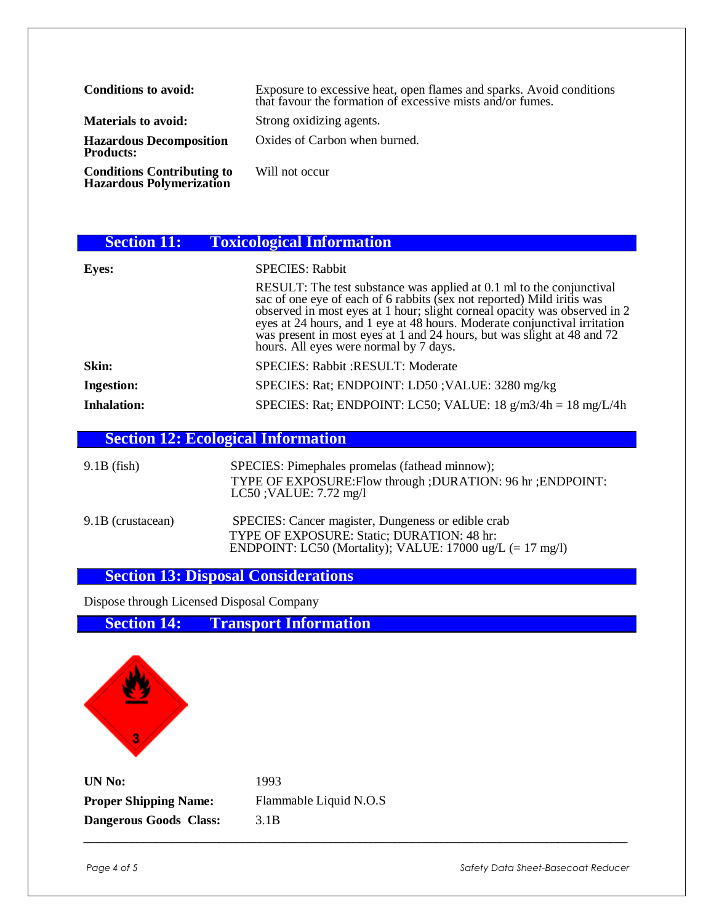| Conditions to avoid:                                           | Exposure to excessive heat, open flames and sparks. Avoid conditions that favour the formation of excessive mists and/or fumes. |
|----------------------------------------------------------------|---------------------------------------------------------------------------------------------------------------------------------|
| <b>Materials to avoid:</b>                                     | Strong oxidizing agents.                                                                                                        |
| <b>Hazardous Decomposition</b><br><b>Products:</b>             | Oxides of Carbon when burned.                                                                                                   |
| <b>Conditions Contributing to<br/>Hazardous Polymerization</b> | Will not occur                                                                                                                  |

| <b>Section 11:</b> | <b>Toxicological Information</b>                                                                                                                                                                                                                                                                                                                                                                                              |
|--------------------|-------------------------------------------------------------------------------------------------------------------------------------------------------------------------------------------------------------------------------------------------------------------------------------------------------------------------------------------------------------------------------------------------------------------------------|
| <b>Eyes:</b>       | <b>SPECIES: Rabbit</b>                                                                                                                                                                                                                                                                                                                                                                                                        |
|                    | RESULT: The test substance was applied at 0.1 ml to the conjunctival<br>sac of one eye of each of 6 rabbits (sex not reported) Mild iritis was<br>observed in most eyes at 1 hour; slight corneal opacity was observed in 2<br>eyes at 24 hours, and 1 eye at 48 hours. Moderate conjunctival irritation<br>was present in most eyes at 1 and 24 hours, but was slight at 48 and 72<br>hours. All eyes were normal by 7 days. |
| Skin:              | SPECIES: Rabbit : RESULT: Moderate                                                                                                                                                                                                                                                                                                                                                                                            |
| <b>Ingestion:</b>  | SPECIES: Rat; ENDPOINT: LD50; VALUE: 3280 mg/kg                                                                                                                                                                                                                                                                                                                                                                               |
| <b>Inhalation:</b> | SPECIES: Rat; ENDPOINT: LC50; VALUE: 18 g/m3/4h = 18 mg/L/4h                                                                                                                                                                                                                                                                                                                                                                  |

# **Section 12: Ecological Information**

| $9.1B$ (fish)     | SPECIES: Pimephales promelas (fathead minnow);<br>TYPE OF EXPOSURE: Flow through ; DURATION: 96 hr ; ENDPOINT:<br>$LC50$ ; VALUE: $7.72$ mg/l                                   |
|-------------------|---------------------------------------------------------------------------------------------------------------------------------------------------------------------------------|
| 9.1B (crustacean) | SPECIES: Cancer magister, Dungeness or edible crab<br>TYPE OF EXPOSURE: Static; DURATION: 48 hr:<br>ENDPOINT: LC50 (Mortality); VALUE: $17000 \text{ ug/L} (= 17 \text{ mg/l})$ |

# **Section 13: Disposal Considerations**

Dispose through Licensed Disposal Company

| <b>Section 14:</b> |  | <b>Transport Information</b> |
|--------------------|--|------------------------------|
|--------------------|--|------------------------------|



| UN No:                       | 1993                   |
|------------------------------|------------------------|
| <b>Proper Shipping Name:</b> | Flammable Liquid N.O.S |
| Dangerous Goods Class:       | 3.1B                   |